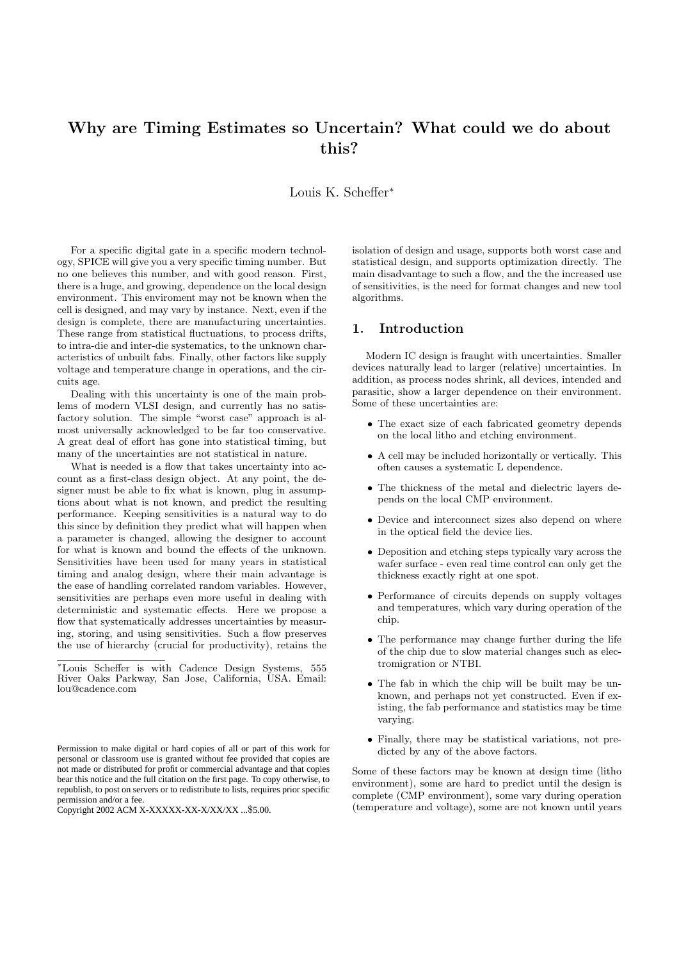# Why are Timing Estimates so Uncertain? What could we do about this?

Louis K. Scheffer<sup>∗</sup>

For a specific digital gate in a specific modern technology, SPICE will give you a very specific timing number. But no one believes this number, and with good reason. First, there is a huge, and growing, dependence on the local design environment. This enviroment may not be known when the cell is designed, and may vary by instance. Next, even if the design is complete, there are manufacturing uncertainties. These range from statistical fluctuations, to process drifts, to intra-die and inter-die systematics, to the unknown characteristics of unbuilt fabs. Finally, other factors like supply voltage and temperature change in operations, and the circuits age.

Dealing with this uncertainty is one of the main problems of modern VLSI design, and currently has no satisfactory solution. The simple "worst case" approach is almost universally acknowledged to be far too conservative. A great deal of effort has gone into statistical timing, but many of the uncertainties are not statistical in nature.

What is needed is a flow that takes uncertainty into account as a first-class design object. At any point, the designer must be able to fix what is known, plug in assumptions about what is not known, and predict the resulting performance. Keeping sensitivities is a natural way to do this since by definition they predict what will happen when a parameter is changed, allowing the designer to account for what is known and bound the effects of the unknown. Sensitivities have been used for many years in statistical timing and analog design, where their main advantage is the ease of handling correlated random variables. However, sensitivities are perhaps even more useful in dealing with deterministic and systematic effects. Here we propose a flow that systematically addresses uncertainties by measuring, storing, and using sensitivities. Such a flow preserves the use of hierarchy (crucial for productivity), retains the

Copyright 2002 ACM X-XXXXX-XX-X/XX/XX ...\$5.00.

isolation of design and usage, supports both worst case and statistical design, and supports optimization directly. The main disadvantage to such a flow, and the the increased use of sensitivities, is the need for format changes and new tool algorithms.

## 1. Introduction

Modern IC design is fraught with uncertainties. Smaller devices naturally lead to larger (relative) uncertainties. In addition, as process nodes shrink, all devices, intended and parasitic, show a larger dependence on their environment. Some of these uncertainties are:

- The exact size of each fabricated geometry depends on the local litho and etching environment.
- A cell may be included horizontally or vertically. This often causes a systematic L dependence.
- The thickness of the metal and dielectric layers depends on the local CMP environment.
- Device and interconnect sizes also depend on where in the optical field the device lies.
- Deposition and etching steps typically vary across the wafer surface - even real time control can only get the thickness exactly right at one spot.
- Performance of circuits depends on supply voltages and temperatures, which vary during operation of the chip.
- The performance may change further during the life of the chip due to slow material changes such as electromigration or NTBI.
- The fab in which the chip will be built may be unknown, and perhaps not yet constructed. Even if existing, the fab performance and statistics may be time varying.
- Finally, there may be statistical variations, not predicted by any of the above factors.

Some of these factors may be known at design time (litho environment), some are hard to predict until the design is complete (CMP environment), some vary during operation (temperature and voltage), some are not known until years

<sup>∗</sup>Louis Scheffer is with Cadence Design Systems, 555 River Oaks Parkway, San Jose, California, USA. Email: lou@cadence.com

Permission to make digital or hard copies of all or part of this work for personal or classroom use is granted without fee provided that copies are not made or distributed for profit or commercial advantage and that copies bear this notice and the full citation on the first page. To copy otherwise, to republish, to post on servers or to redistribute to lists, requires prior specific permission and/or a fee.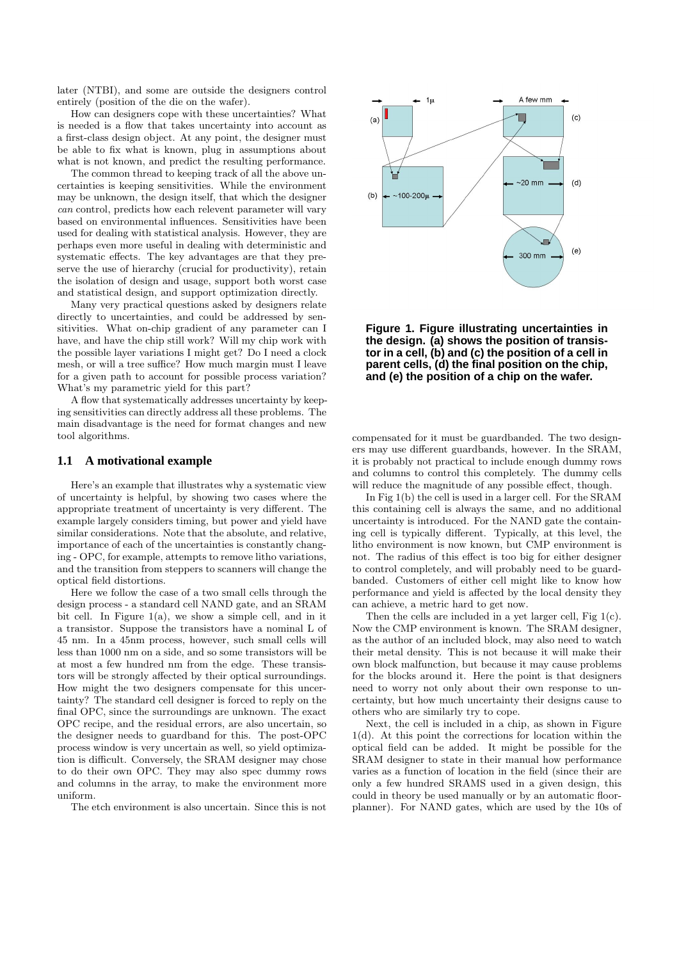later (NTBI), and some are outside the designers control entirely (position of the die on the wafer).

How can designers cope with these uncertainties? What is needed is a flow that takes uncertainty into account as a first-class design object. At any point, the designer must be able to fix what is known, plug in assumptions about what is not known, and predict the resulting performance.

The common thread to keeping track of all the above uncertainties is keeping sensitivities. While the environment may be unknown, the design itself, that which the designer can control, predicts how each relevent parameter will vary based on environmental influences. Sensitivities have been used for dealing with statistical analysis. However, they are perhaps even more useful in dealing with deterministic and systematic effects. The key advantages are that they preserve the use of hierarchy (crucial for productivity), retain the isolation of design and usage, support both worst case and statistical design, and support optimization directly.

Many very practical questions asked by designers relate directly to uncertainties, and could be addressed by sensitivities. What on-chip gradient of any parameter can I have, and have the chip still work? Will my chip work with the possible layer variations I might get? Do I need a clock mesh, or will a tree suffice? How much margin must I leave for a given path to account for possible process variation? What's my parametric yield for this part?

A flow that systematically addresses uncertainty by keeping sensitivities can directly address all these problems. The main disadvantage is the need for format changes and new tool algorithms.

#### **1.1 A motivational example**

Here's an example that illustrates why a systematic view of uncertainty is helpful, by showing two cases where the appropriate treatment of uncertainty is very different. The example largely considers timing, but power and yield have similar considerations. Note that the absolute, and relative, importance of each of the uncertainties is constantly changing - OPC, for example, attempts to remove litho variations, and the transition from steppers to scanners will change the optical field distortions.

Here we follow the case of a two small cells through the design process - a standard cell NAND gate, and an SRAM bit cell. In Figure  $1(a)$ , we show a simple cell, and in it a transistor. Suppose the transistors have a nominal L of 45 nm. In a 45nm process, however, such small cells will less than 1000 nm on a side, and so some transistors will be at most a few hundred nm from the edge. These transistors will be strongly affected by their optical surroundings. How might the two designers compensate for this uncertainty? The standard cell designer is forced to reply on the final OPC, since the surroundings are unknown. The exact OPC recipe, and the residual errors, are also uncertain, so the designer needs to guardband for this. The post-OPC process window is very uncertain as well, so yield optimization is difficult. Conversely, the SRAM designer may chose to do their own OPC. They may also spec dummy rows and columns in the array, to make the environment more uniform.

The etch environment is also uncertain. Since this is not



**Figure 1. Figure illustrating uncertainties in the design. (a) shows the position of transistor in a cell, (b) and (c) the position of a cell in parent cells, (d) the final position on the chip, and (e) the position of a chip on the wafer.**

compensated for it must be guardbanded. The two designers may use different guardbands, however. In the SRAM, it is probably not practical to include enough dummy rows and columns to control this completely. The dummy cells will reduce the magnitude of any possible effect, though.

In Fig 1(b) the cell is used in a larger cell. For the SRAM this containing cell is always the same, and no additional uncertainty is introduced. For the NAND gate the containing cell is typically different. Typically, at this level, the litho environment is now known, but CMP environment is not. The radius of this effect is too big for either designer to control completely, and will probably need to be guardbanded. Customers of either cell might like to know how performance and yield is affected by the local density they can achieve, a metric hard to get now.

Then the cells are included in a yet larger cell, Fig 1(c). Now the CMP environment is known. The SRAM designer, as the author of an included block, may also need to watch their metal density. This is not because it will make their own block malfunction, but because it may cause problems for the blocks around it. Here the point is that designers need to worry not only about their own response to uncertainty, but how much uncertainty their designs cause to others who are similarly try to cope.

Next, the cell is included in a chip, as shown in Figure 1(d). At this point the corrections for location within the optical field can be added. It might be possible for the SRAM designer to state in their manual how performance varies as a function of location in the field (since their are only a few hundred SRAMS used in a given design, this could in theory be used manually or by an automatic floorplanner). For NAND gates, which are used by the 10s of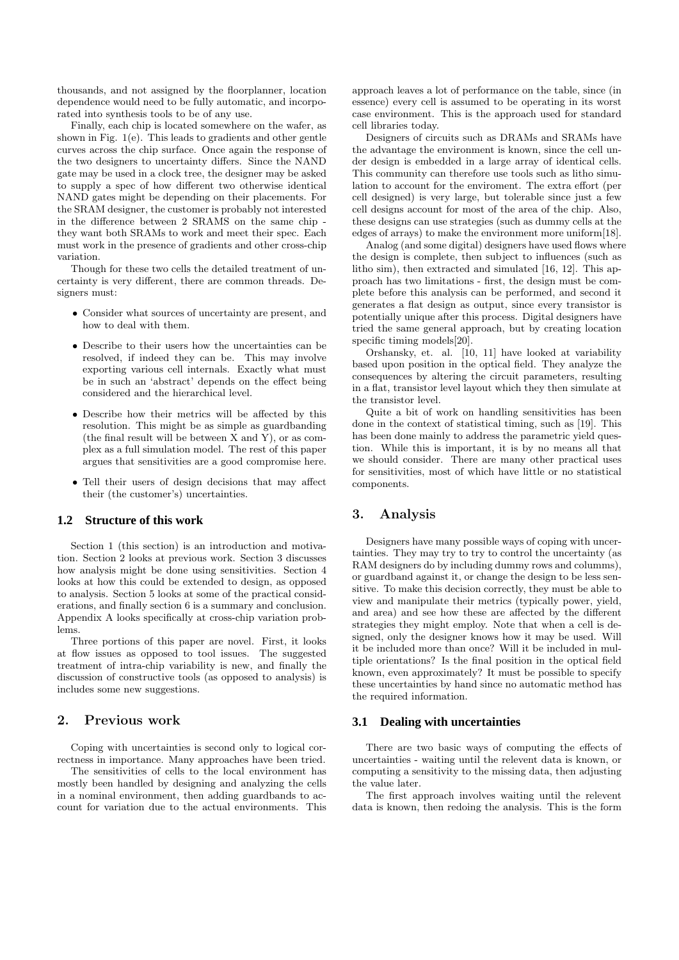thousands, and not assigned by the floorplanner, location dependence would need to be fully automatic, and incorporated into synthesis tools to be of any use.

Finally, each chip is located somewhere on the wafer, as shown in Fig. 1(e). This leads to gradients and other gentle curves across the chip surface. Once again the response of the two designers to uncertainty differs. Since the NAND gate may be used in a clock tree, the designer may be asked to supply a spec of how different two otherwise identical NAND gates might be depending on their placements. For the SRAM designer, the customer is probably not interested in the difference between 2 SRAMS on the same chip they want both SRAMs to work and meet their spec. Each must work in the presence of gradients and other cross-chip variation.

Though for these two cells the detailed treatment of uncertainty is very different, there are common threads. Designers must:

- Consider what sources of uncertainty are present, and how to deal with them.
- Describe to their users how the uncertainties can be resolved, if indeed they can be. This may involve exporting various cell internals. Exactly what must be in such an 'abstract' depends on the effect being considered and the hierarchical level.
- Describe how their metrics will be affected by this resolution. This might be as simple as guardbanding (the final result will be between X and Y), or as complex as a full simulation model. The rest of this paper argues that sensitivities are a good compromise here.
- Tell their users of design decisions that may affect their (the customer's) uncertainties.

## **1.2 Structure of this work**

Section 1 (this section) is an introduction and motivation. Section 2 looks at previous work. Section 3 discusses how analysis might be done using sensitivities. Section 4 looks at how this could be extended to design, as opposed to analysis. Section 5 looks at some of the practical considerations, and finally section 6 is a summary and conclusion. Appendix A looks specifically at cross-chip variation problems.

Three portions of this paper are novel. First, it looks at flow issues as opposed to tool issues. The suggested treatment of intra-chip variability is new, and finally the discussion of constructive tools (as opposed to analysis) is includes some new suggestions.

# 2. Previous work

Coping with uncertainties is second only to logical correctness in importance. Many approaches have been tried.

The sensitivities of cells to the local environment has mostly been handled by designing and analyzing the cells in a nominal environment, then adding guardbands to account for variation due to the actual environments. This approach leaves a lot of performance on the table, since (in essence) every cell is assumed to be operating in its worst case environment. This is the approach used for standard cell libraries today.

Designers of circuits such as DRAMs and SRAMs have the advantage the environment is known, since the cell under design is embedded in a large array of identical cells. This community can therefore use tools such as litho simulation to account for the enviroment. The extra effort (per cell designed) is very large, but tolerable since just a few cell designs account for most of the area of the chip. Also, these designs can use strategies (such as dummy cells at the edges of arrays) to make the environment more uniform[18].

Analog (and some digital) designers have used flows where the design is complete, then subject to influences (such as litho sim), then extracted and simulated [16, 12]. This approach has two limitations - first, the design must be complete before this analysis can be performed, and second it generates a flat design as output, since every transistor is potentially unique after this process. Digital designers have tried the same general approach, but by creating location specific timing models[20].

Orshansky, et. al. [10, 11] have looked at variability based upon position in the optical field. They analyze the consequences by altering the circuit parameters, resulting in a flat, transistor level layout which they then simulate at the transistor level.

Quite a bit of work on handling sensitivities has been done in the context of statistical timing, such as [19]. This has been done mainly to address the parametric yield question. While this is important, it is by no means all that we should consider. There are many other practical uses for sensitivities, most of which have little or no statistical components.

## 3. Analysis

Designers have many possible ways of coping with uncertainties. They may try to try to control the uncertainty (as RAM designers do by including dummy rows and columms), or guardband against it, or change the design to be less sensitive. To make this decision correctly, they must be able to view and manipulate their metrics (typically power, yield, and area) and see how these are affected by the different strategies they might employ. Note that when a cell is designed, only the designer knows how it may be used. Will it be included more than once? Will it be included in multiple orientations? Is the final position in the optical field known, even approximately? It must be possible to specify these uncertainties by hand since no automatic method has the required information.

#### **3.1 Dealing with uncertainties**

There are two basic ways of computing the effects of uncertainties - waiting until the relevent data is known, or computing a sensitivity to the missing data, then adjusting the value later.

The first approach involves waiting until the relevent data is known, then redoing the analysis. This is the form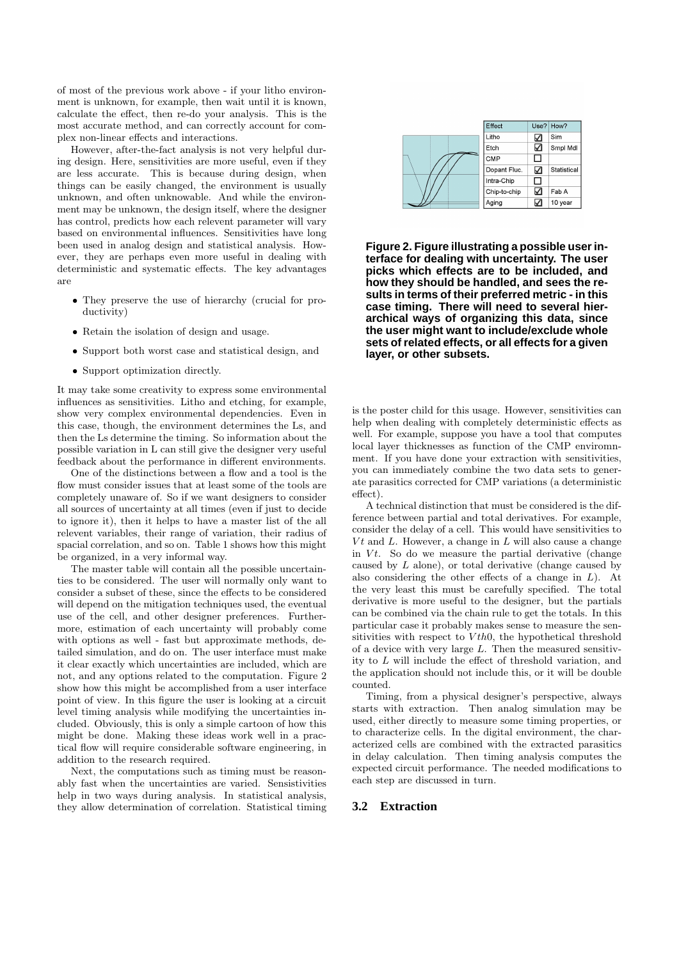of most of the previous work above - if your litho environment is unknown, for example, then wait until it is known, calculate the effect, then re-do your analysis. This is the most accurate method, and can correctly account for complex non-linear effects and interactions.

However, after-the-fact analysis is not very helpful during design. Here, sensitivities are more useful, even if they are less accurate. This is because during design, when things can be easily changed, the environment is usually unknown, and often unknowable. And while the environment may be unknown, the design itself, where the designer has control, predicts how each relevent parameter will vary based on environmental influences. Sensitivities have long been used in analog design and statistical analysis. However, they are perhaps even more useful in dealing with deterministic and systematic effects. The key advantages are

- They preserve the use of hierarchy (crucial for productivity)
- Retain the isolation of design and usage.
- Support both worst case and statistical design, and
- Support optimization directly.

It may take some creativity to express some environmental influences as sensitivities. Litho and etching, for example, show very complex environmental dependencies. Even in this case, though, the environment determines the Ls, and then the Ls determine the timing. So information about the possible variation in L can still give the designer very useful feedback about the performance in different environments.

One of the distinctions between a flow and a tool is the flow must consider issues that at least some of the tools are completely unaware of. So if we want designers to consider all sources of uncertainty at all times (even if just to decide to ignore it), then it helps to have a master list of the all relevent variables, their range of variation, their radius of spacial correlation, and so on. Table 1 shows how this might be organized, in a very informal way.

The master table will contain all the possible uncertainties to be considered. The user will normally only want to consider a subset of these, since the effects to be considered will depend on the mitigation techniques used, the eventual use of the cell, and other designer preferences. Furthermore, estimation of each uncertainty will probably come with options as well - fast but approximate methods, detailed simulation, and do on. The user interface must make it clear exactly which uncertainties are included, which are not, and any options related to the computation. Figure 2 show how this might be accomplished from a user interface point of view. In this figure the user is looking at a circuit level timing analysis while modifying the uncertainties included. Obviously, this is only a simple cartoon of how this might be done. Making these ideas work well in a practical flow will require considerable software engineering, in addition to the research required.

Next, the computations such as timing must be reasonably fast when the uncertainties are varied. Sensistivities help in two ways during analysis. In statistical analysis, they allow determination of correlation. Statistical timing



**Figure 2. Figure illustrating a possible user interface for dealing with uncertainty. The user picks which effects are to be included, and how they should be handled, and sees the results in terms of their preferred metric - in this case timing. There will need to several hierarchical ways of organizing this data, since the user might want to include/exclude whole sets of related effects, or all effects for a given layer, or other subsets.**

is the poster child for this usage. However, sensitivities can help when dealing with completely deterministic effects as well. For example, suppose you have a tool that computes local layer thicknesses as function of the CMP enviromnment. If you have done your extraction with sensitivities, you can immediately combine the two data sets to generate parasitics corrected for CMP variations (a deterministic effect).

A technical distinction that must be considered is the difference between partial and total derivatives. For example, consider the delay of a cell. This would have sensitivities to  $Vt$  and  $L$ . However, a change in  $L$  will also cause a change in  $Vt$ . So do we measure the partial derivative (change caused by L alone), or total derivative (change caused by also considering the other effects of a change in  $L$ ). At the very least this must be carefully specified. The total derivative is more useful to the designer, but the partials can be combined via the chain rule to get the totals. In this particular case it probably makes sense to measure the sensitivities with respect to  $Vth0$ , the hypothetical threshold of a device with very large  $L$ . Then the measured sensitivity to L will include the effect of threshold variation, and the application should not include this, or it will be double counted.

Timing, from a physical designer's perspective, always starts with extraction. Then analog simulation may be used, either directly to measure some timing properties, or to characterize cells. In the digital environment, the characterized cells are combined with the extracted parasitics in delay calculation. Then timing analysis computes the expected circuit performance. The needed modifications to each step are discussed in turn.

## **3.2 Extraction**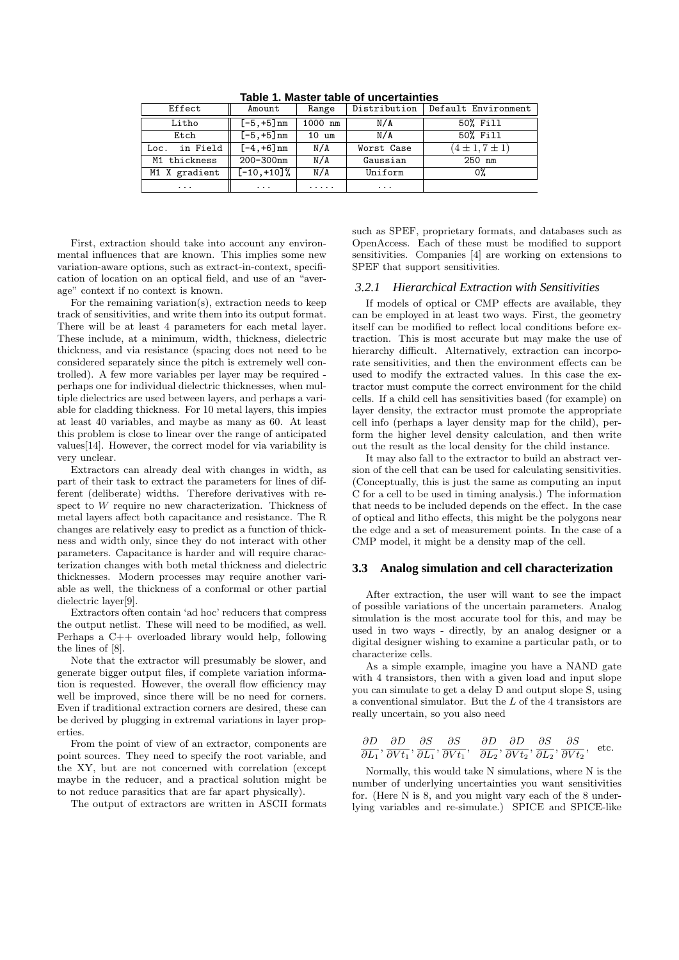| Effect           | Amount         | Range           | Distribution | Default Environment  |
|------------------|----------------|-----------------|--------------|----------------------|
| Litho            | $[-5, +5]$ nm  | 1000 nm         | N/A          | 50% Fill             |
| Etch             | $[-5, +5]$ nm  | $10 \text{ um}$ | N/A          | 50% Fill             |
| in Field<br>Loc. | $[-4, +6]$ nm  | N/A             | Worst Case   | $(4 \pm 1, 7 \pm 1)$ |
| M1 thickness     | 200-300nm      | N/A             | Gaussian     | $250$ nm             |
| M1 X gradient    | $[-10, +10]$ % | N/A             | Uniform      | 0%                   |
| $\cdots$         | $\cdots$       | .               | $\cdots$     |                      |

**Table 1. Master table of uncertainties**

First, extraction should take into account any environmental influences that are known. This implies some new variation-aware options, such as extract-in-context, specification of location on an optical field, and use of an "average" context if no context is known.

For the remaining variation(s), extraction needs to keep track of sensitivities, and write them into its output format. There will be at least 4 parameters for each metal layer. These include, at a minimum, width, thickness, dielectric thickness, and via resistance (spacing does not need to be considered separately since the pitch is extremely well controlled). A few more variables per layer may be required perhaps one for individual dielectric thicknesses, when multiple dielectrics are used between layers, and perhaps a variable for cladding thickness. For 10 metal layers, this impies at least 40 variables, and maybe as many as 60. At least this problem is close to linear over the range of anticipated values[14]. However, the correct model for via variability is very unclear.

Extractors can already deal with changes in width, as part of their task to extract the parameters for lines of different (deliberate) widths. Therefore derivatives with respect to W require no new characterization. Thickness of metal layers affect both capacitance and resistance. The R changes are relatively easy to predict as a function of thickness and width only, since they do not interact with other parameters. Capacitance is harder and will require characterization changes with both metal thickness and dielectric thicknesses. Modern processes may require another variable as well, the thickness of a conformal or other partial dielectric layer[9].

Extractors often contain 'ad hoc' reducers that compress the output netlist. These will need to be modified, as well. Perhaps a C++ overloaded library would help, following the lines of [8].

Note that the extractor will presumably be slower, and generate bigger output files, if complete variation information is requested. However, the overall flow efficiency may well be improved, since there will be no need for corners. Even if traditional extraction corners are desired, these can be derived by plugging in extremal variations in layer properties.

From the point of view of an extractor, components are point sources. They need to specify the root variable, and the XY, but are not concerned with correlation (except maybe in the reducer, and a practical solution might be to not reduce parasitics that are far apart physically).

The output of extractors are written in ASCII formats

such as SPEF, proprietary formats, and databases such as OpenAccess. Each of these must be modified to support sensitivities. Companies [4] are working on extensions to SPEF that support sensitivities.

#### *3.2.1 Hierarchical Extraction with Sensitivities*

If models of optical or CMP effects are available, they can be employed in at least two ways. First, the geometry itself can be modified to reflect local conditions before extraction. This is most accurate but may make the use of hierarchy difficult. Alternatively, extraction can incorporate sensitivities, and then the environment effects can be used to modify the extracted values. In this case the extractor must compute the correct environment for the child cells. If a child cell has sensitivities based (for example) on layer density, the extractor must promote the appropriate cell info (perhaps a layer density map for the child), perform the higher level density calculation, and then write out the result as the local density for the child instance.

It may also fall to the extractor to build an abstract version of the cell that can be used for calculating sensitivities. (Conceptually, this is just the same as computing an input C for a cell to be used in timing analysis.) The information that needs to be included depends on the effect. In the case of optical and litho effects, this might be the polygons near the edge and a set of measurement points. In the case of a CMP model, it might be a density map of the cell.

### **3.3 Analog simulation and cell characterization**

After extraction, the user will want to see the impact of possible variations of the uncertain parameters. Analog simulation is the most accurate tool for this, and may be used in two ways - directly, by an analog designer or a digital designer wishing to examine a particular path, or to characterize cells.

As a simple example, imagine you have a NAND gate with 4 transistors, then with a given load and input slope you can simulate to get a delay D and output slope S, using a conventional simulator. But the L of the 4 transistors are really uncertain, so you also need

$$
\frac{\partial D}{\partial L_1}, \frac{\partial D}{\partial V t_1}, \frac{\partial S}{\partial L_1}, \frac{\partial S}{\partial V t_1}, \frac{\partial D}{\partial L_2}, \frac{\partial D}{\partial V t_2}, \frac{\partial S}{\partial L_2}, \frac{\partial S}{\partial V t_2}, \text{ etc.}
$$

Normally, this would take N simulations, where N is the number of underlying uncertainties you want sensitivities for. (Here N is 8, and you might vary each of the 8 underlying variables and re-simulate.) SPICE and SPICE-like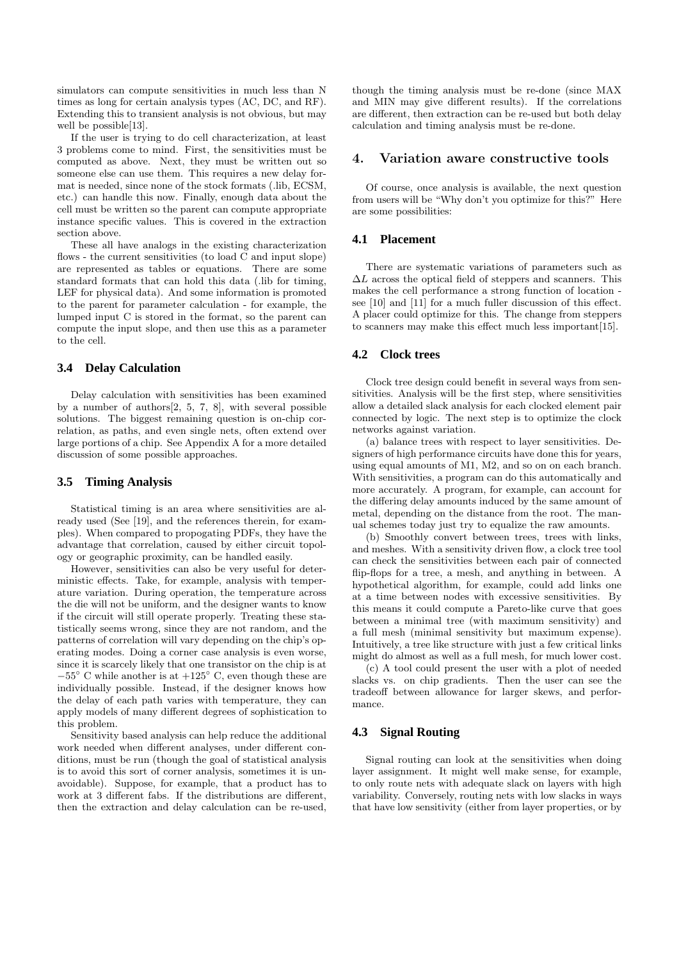simulators can compute sensitivities in much less than N times as long for certain analysis types (AC, DC, and RF). Extending this to transient analysis is not obvious, but may well be possible[13].

If the user is trying to do cell characterization, at least 3 problems come to mind. First, the sensitivities must be computed as above. Next, they must be written out so someone else can use them. This requires a new delay format is needed, since none of the stock formats (.lib, ECSM, etc.) can handle this now. Finally, enough data about the cell must be written so the parent can compute appropriate instance specific values. This is covered in the extraction section above.

These all have analogs in the existing characterization flows - the current sensitivities (to load C and input slope) are represented as tables or equations. There are some standard formats that can hold this data (.lib for timing, LEF for physical data). And some information is promoted to the parent for parameter calculation - for example, the lumped input C is stored in the format, so the parent can compute the input slope, and then use this as a parameter to the cell.

## **3.4 Delay Calculation**

Delay calculation with sensitivities has been examined by a number of authors[2, 5, 7, 8], with several possible solutions. The biggest remaining question is on-chip correlation, as paths, and even single nets, often extend over large portions of a chip. See Appendix A for a more detailed discussion of some possible approaches.

## **3.5 Timing Analysis**

Statistical timing is an area where sensitivities are already used (See [19], and the references therein, for examples). When compared to propogating PDFs, they have the advantage that correlation, caused by either circuit topology or geographic proximity, can be handled easily.

However, sensitivities can also be very useful for deterministic effects. Take, for example, analysis with temperature variation. During operation, the temperature across the die will not be uniform, and the designer wants to know if the circuit will still operate properly. Treating these statistically seems wrong, since they are not random, and the patterns of correlation will vary depending on the chip's operating modes. Doing a corner case analysis is even worse, since it is scarcely likely that one transistor on the chip is at  $-55^{\circ}$  C while another is at  $+125^{\circ}$  C, even though these are individually possible. Instead, if the designer knows how the delay of each path varies with temperature, they can apply models of many different degrees of sophistication to this problem.

Sensitivity based analysis can help reduce the additional work needed when different analyses, under different conditions, must be run (though the goal of statistical analysis is to avoid this sort of corner analysis, sometimes it is unavoidable). Suppose, for example, that a product has to work at 3 different fabs. If the distributions are different, then the extraction and delay calculation can be re-used,

though the timing analysis must be re-done (since MAX and MIN may give different results). If the correlations are different, then extraction can be re-used but both delay calculation and timing analysis must be re-done.

## 4. Variation aware constructive tools

Of course, once analysis is available, the next question from users will be "Why don't you optimize for this?" Here are some possibilities:

## **4.1 Placement**

There are systematic variations of parameters such as  $\Delta L$  across the optical field of steppers and scanners. This makes the cell performance a strong function of location see [10] and [11] for a much fuller discussion of this effect. A placer could optimize for this. The change from steppers to scanners may make this effect much less important[15].

#### **4.2 Clock trees**

Clock tree design could benefit in several ways from sensitivities. Analysis will be the first step, where sensitivities allow a detailed slack analysis for each clocked element pair connected by logic. The next step is to optimize the clock networks against variation.

(a) balance trees with respect to layer sensitivities. Designers of high performance circuits have done this for years, using equal amounts of M1, M2, and so on on each branch. With sensitivities, a program can do this automatically and more accurately. A program, for example, can account for the differing delay amounts induced by the same amount of metal, depending on the distance from the root. The manual schemes today just try to equalize the raw amounts.

(b) Smoothly convert between trees, trees with links, and meshes. With a sensitivity driven flow, a clock tree tool can check the sensitivities between each pair of connected flip-flops for a tree, a mesh, and anything in between. A hypothetical algorithm, for example, could add links one at a time between nodes with excessive sensitivities. By this means it could compute a Pareto-like curve that goes between a minimal tree (with maximum sensitivity) and a full mesh (minimal sensitivity but maximum expense). Intuitively, a tree like structure with just a few critical links might do almost as well as a full mesh, for much lower cost.

(c) A tool could present the user with a plot of needed slacks vs. on chip gradients. Then the user can see the tradeoff between allowance for larger skews, and performance.

## **4.3 Signal Routing**

Signal routing can look at the sensitivities when doing layer assignment. It might well make sense, for example, to only route nets with adequate slack on layers with high variability. Conversely, routing nets with low slacks in ways that have low sensitivity (either from layer properties, or by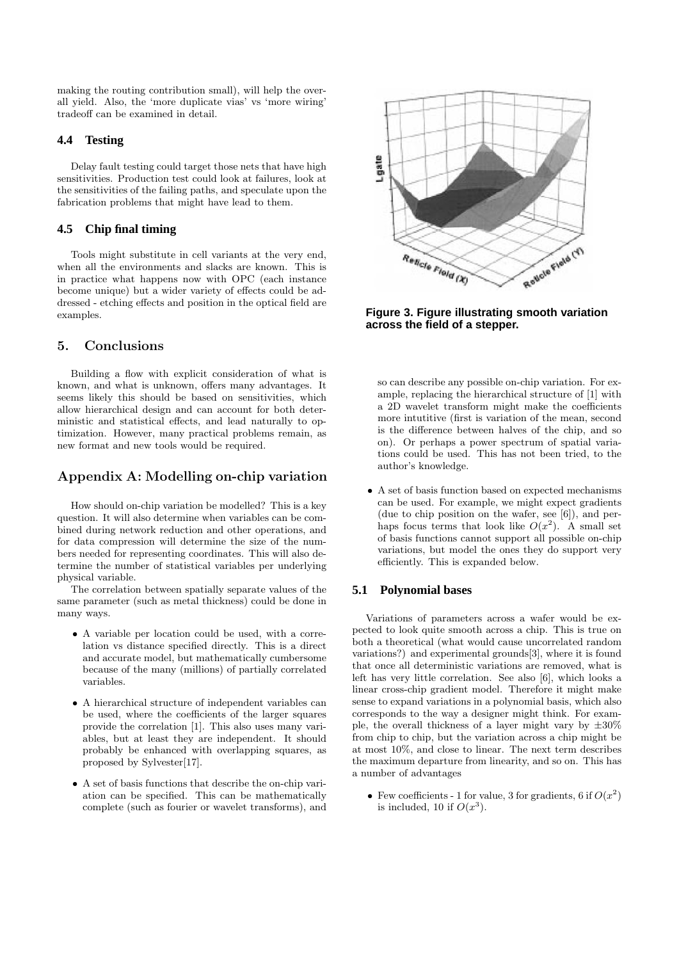making the routing contribution small), will help the overall yield. Also, the 'more duplicate vias' vs 'more wiring' tradeoff can be examined in detail.

## **4.4 Testing**

Delay fault testing could target those nets that have high sensitivities. Production test could look at failures, look at the sensitivities of the failing paths, and speculate upon the fabrication problems that might have lead to them.

## **4.5 Chip final timing**

Tools might substitute in cell variants at the very end, when all the environments and slacks are known. This is in practice what happens now with OPC (each instance become unique) but a wider variety of effects could be addressed - etching effects and position in the optical field are examples.

# 5. Conclusions

Building a flow with explicit consideration of what is known, and what is unknown, offers many advantages. It seems likely this should be based on sensitivities, which allow hierarchical design and can account for both deterministic and statistical effects, and lead naturally to optimization. However, many practical problems remain, as new format and new tools would be required.

# Appendix A: Modelling on-chip variation

How should on-chip variation be modelled? This is a key question. It will also determine when variables can be combined during network reduction and other operations, and for data compression will determine the size of the numbers needed for representing coordinates. This will also determine the number of statistical variables per underlying physical variable.

The correlation between spatially separate values of the same parameter (such as metal thickness) could be done in many ways.

- A variable per location could be used, with a correlation vs distance specified directly. This is a direct and accurate model, but mathematically cumbersome because of the many (millions) of partially correlated variables.
- A hierarchical structure of independent variables can be used, where the coefficients of the larger squares provide the correlation [1]. This also uses many variables, but at least they are independent. It should probably be enhanced with overlapping squares, as proposed by Sylvester[17].
- A set of basis functions that describe the on-chip variation can be specified. This can be mathematically complete (such as fourier or wavelet transforms), and



**Figure 3. Figure illustrating smooth variation across the field of a stepper.**

so can describe any possible on-chip variation. For example, replacing the hierarchical structure of [1] with a 2D wavelet transform might make the coefficients more intutitive (first is variation of the mean, second is the difference between halves of the chip, and so on). Or perhaps a power spectrum of spatial variations could be used. This has not been tried, to the author's knowledge.

• A set of basis function based on expected mechanisms can be used. For example, we might expect gradients (due to chip position on the wafer, see [6]), and perhaps focus terms that look like  $O(x^2)$ . A small set of basis functions cannot support all possible on-chip variations, but model the ones they do support very efficiently. This is expanded below.

## **5.1 Polynomial bases**

Variations of parameters across a wafer would be expected to look quite smooth across a chip. This is true on both a theoretical (what would cause uncorrelated random variations?) and experimental grounds[3], where it is found that once all deterministic variations are removed, what is left has very little correlation. See also [6], which looks a linear cross-chip gradient model. Therefore it might make sense to expand variations in a polynomial basis, which also corresponds to the way a designer might think. For example, the overall thickness of a layer might vary by  $\pm 30\%$ from chip to chip, but the variation across a chip might be at most 10%, and close to linear. The next term describes the maximum departure from linearity, and so on. This has a number of advantages

• Few coefficients - 1 for value, 3 for gradients, 6 if  $O(x^2)$ is included, 10 if  $O(x^3)$ .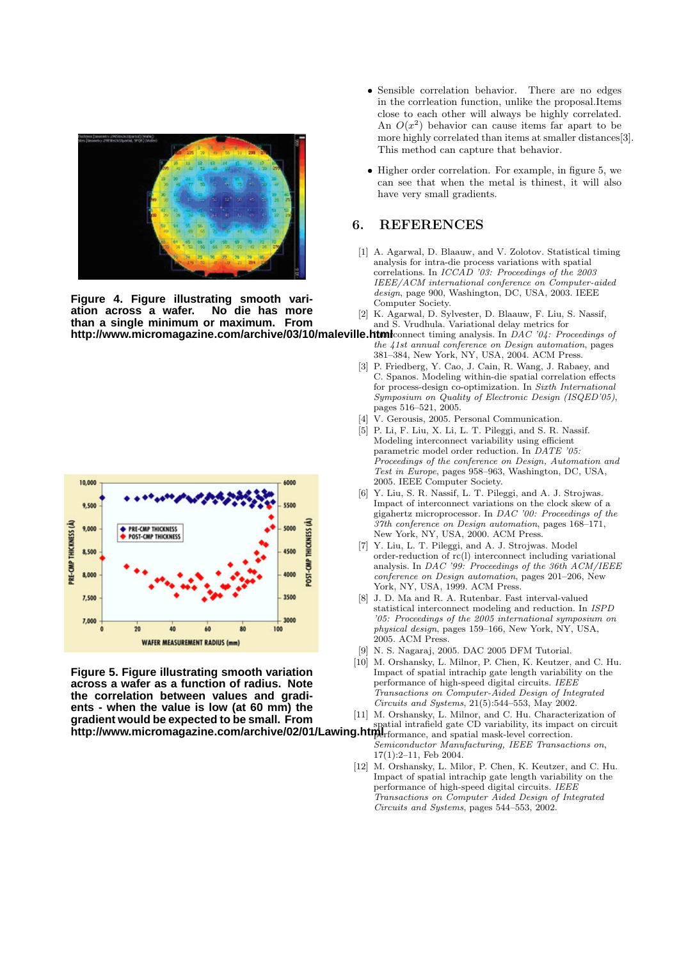

**Figure 4. Figure illustrating smooth vari**ation across a wafer. **than a single minimum or maximum. From**



**Figure 5. Figure illustrating smooth variation across a wafer as a function of radius. Note the correlation between values and gradients - when the value is low (at 60 mm) the gradient would be expected to be small. From http://www.micromagazine.com/archive/02/01/Lawing.html** spatial intrafield gate CD variability, its impact on circuit

- Sensible correlation behavior. There are no edges in the corrleation function, unlike the proposal.Items close to each other will always be highly correlated. An  $O(x^2)$  behavior can cause items far apart to be more highly correlated than items at smaller distances[3]. This method can capture that behavior.
- Higher order correlation. For example, in figure 5, we can see that when the metal is thinest, it will also have very small gradients.

## 6. REFERENCES

- [1] A. Agarwal, D. Blaauw, and V. Zolotov. Statistical timing analysis for intra-die process variations with spatial correlations. In ICCAD '03: Proceedings of the 2003 IEEE/ACM international conference on Computer-aided design, page 900, Washington, DC, USA, 2003. IEEE Computer Society.
- [2] K. Agarwal, D. Sylvester, D. Blaauw, F. Liu, S. Nassif, and S. Vrudhula. Variational delay metrics for
- **http://www.micromagazine.com/archive/03/10/maleville.html**connect timing analysis. In DAC '04: Proceedings of the 41st annual conference on Design automation, pages 381–384, New York, NY, USA, 2004. ACM Press.
	- [3] P. Friedberg, Y. Cao, J. Cain, R. Wang, J. Rabaey, and C. Spanos. Modeling within-die spatial correlation effects for process-design co-optimization. In Sixth International Symposium on Quality of Electronic Design (ISQED'05), pages 516–521, 2005.
	- [4] V. Gerousis, 2005. Personal Communication.
	- [5] P. Li, F. Liu, X. Li, L. T. Pileggi, and S. R. Nassif. Modeling interconnect variability using efficient parametric model order reduction. In DATE '05: Proceedings of the conference on Design, Automation and Test in Europe, pages 958–963, Washington, DC, USA, 2005. IEEE Computer Society.
	- [6] Y. Liu, S. R. Nassif, L. T. Pileggi, and A. J. Strojwas. Impact of interconnect variations on the clock skew of a gigahertz microprocessor. In DAC '00: Proceedings of the 37th conference on Design automation, pages 168–171, New York, NY, USA, 2000. ACM Press.
	- [7] Y. Liu, L. T. Pileggi, and A. J. Strojwas. Model order-reduction of rc(l) interconnect including variational analysis. In DAC '99: Proceedings of the 36th  $ACM/IEEE$ conference on Design automation, pages 201–206, New York, NY, USA, 1999. ACM Press.
	- [8] J. D. Ma and R. A. Rutenbar. Fast interval-valued statistical interconnect modeling and reduction. In ISPD '05: Proceedings of the 2005 international symposium on physical design, pages 159–166, New York, NY, USA, 2005. ACM Press.
	- [9] N. S. Nagaraj, 2005. DAC 2005 DFM Tutorial.
	- [10] M. Orshansky, L. Milnor, P. Chen, K. Keutzer, and C. Hu. Impact of spatial intrachip gate length variability on the performance of high-speed digital circuits. IEEE Transactions on Computer-Aided Design of Integrated Circuits and Systems, 21(5):544–553, May 2002.
	- [11] M. Orshansky, L. Milnor, and C. Hu. Characterization of
	- performance, and spatial mask-level correction. Semiconductor Manufacturing, IEEE Transactions on, 17(1):2–11, Feb 2004.
	- [12] M. Orshansky, L. Milor, P. Chen, K. Keutzer, and C. Hu. Impact of spatial intrachip gate length variability on the performance of high-speed digital circuits. IEEE Transactions on Computer Aided Design of Integrated Circuits and Systems, pages 544–553, 2002.